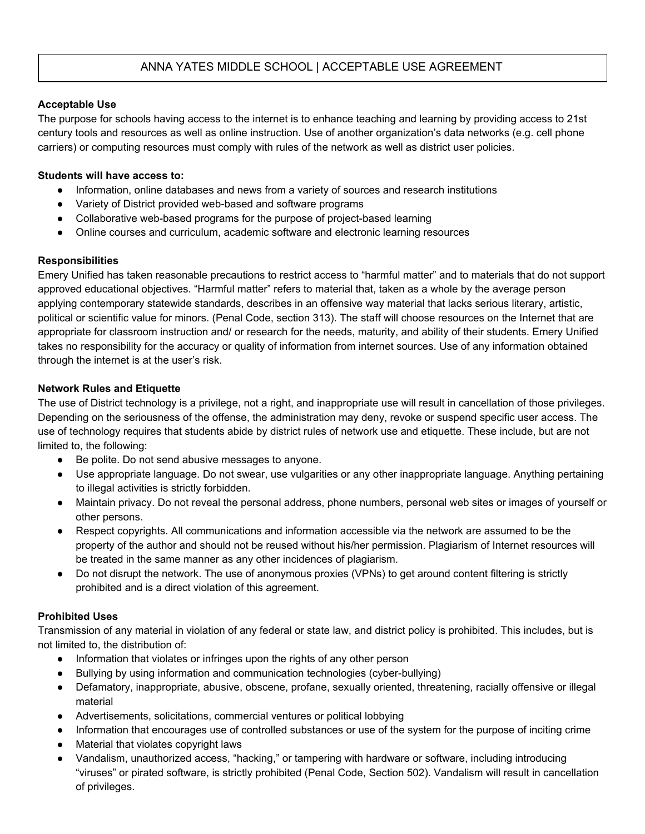# ANNA YATES MIDDLE SCHOOL | ACCEPTABLE USE AGREEMENT

## **Acceptable Use**

The purpose for schools having access to the internet is to enhance teaching and learning by providing access to 21st century tools and resources as well as online instruction. Use of another organization's data networks (e.g. cell phone carriers) or computing resources must comply with rules of the network as well as district user policies.

#### **Students will have access to:**

- Information, online databases and news from a variety of sources and research institutions
- Variety of District provided web-based and software programs
- Collaborative web-based programs for the purpose of project-based learning
- Online courses and curriculum, academic software and electronic learning resources

## **Responsibilities**

Emery Unified has taken reasonable precautions to restrict access to "harmful matter" and to materials that do not support approved educational objectives. "Harmful matter" refers to material that, taken as a whole by the average person applying contemporary statewide standards, describes in an offensive way material that lacks serious literary, artistic, political or scientific value for minors. (Penal Code, section 313). The staff will choose resources on the Internet that are appropriate for classroom instruction and/ or research for the needs, maturity, and ability of their students. Emery Unified takes no responsibility for the accuracy or quality of information from internet sources. Use of any information obtained through the internet is at the user's risk.

## **Network Rules and Etiquette**

The use of District technology is a privilege, not a right, and inappropriate use will result in cancellation of those privileges. Depending on the seriousness of the offense, the administration may deny, revoke or suspend specific user access. The use of technology requires that students abide by district rules of network use and etiquette. These include, but are not limited to, the following:

- Be polite. Do not send abusive messages to anyone.
- Use appropriate language. Do not swear, use vulgarities or any other inappropriate language. Anything pertaining to illegal activities is strictly forbidden.
- Maintain privacy. Do not reveal the personal address, phone numbers, personal web sites or images of yourself or other persons.
- Respect copyrights. All communications and information accessible via the network are assumed to be the property of the author and should not be reused without his/her permission. Plagiarism of Internet resources will be treated in the same manner as any other incidences of plagiarism.
- Do not disrupt the network. The use of anonymous proxies (VPNs) to get around content filtering is strictly prohibited and is a direct violation of this agreement.

## **Prohibited Uses**

Transmission of any material in violation of any federal or state law, and district policy is prohibited. This includes, but is not limited to, the distribution of:

- Information that violates or infringes upon the rights of any other person
- Bullying by using information and communication technologies (cyber-bullying)
- Defamatory, inappropriate, abusive, obscene, profane, sexually oriented, threatening, racially offensive or illegal material
- Advertisements, solicitations, commercial ventures or political lobbying
- Information that encourages use of controlled substances or use of the system for the purpose of inciting crime
- Material that violates copyright laws
- Vandalism, unauthorized access, "hacking," or tampering with hardware or software, including introducing "viruses" or pirated software, is strictly prohibited (Penal Code, Section 502). Vandalism will result in cancellation of privileges.